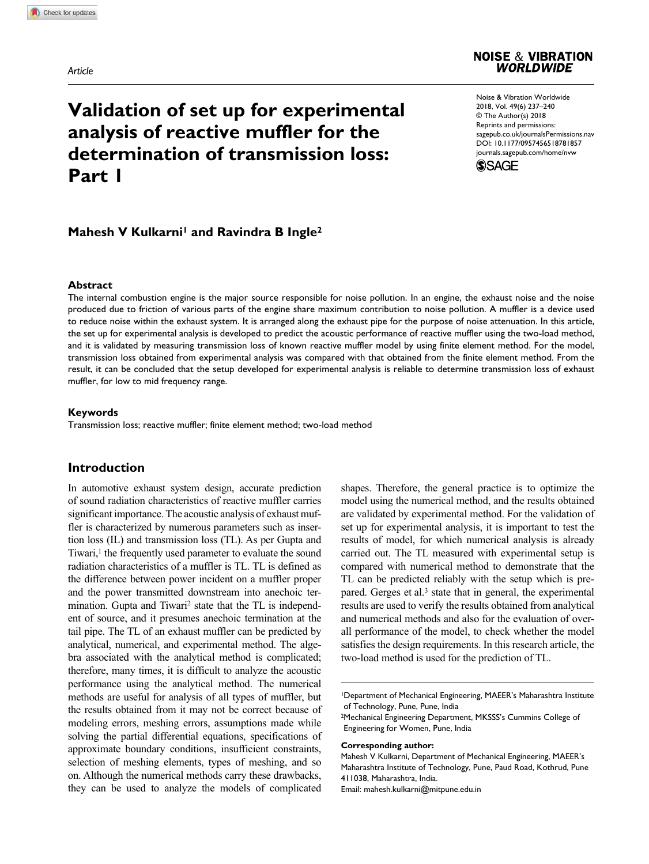*Article*



# **Validation of set up for experimental analysis of reactive muffler for the determination of transmission loss: Part 1**

https://doi.org/10.1177/0957456518781857 DOI: 10.1177/0957456518781857 Noise & Vibration Worldwide 2018, Vol. 49(6) 237-240 © The Author(s) 2018 Reprints and permissions: sagepub.co.uk/journalsPermissions.nav journals.sagepub.com/home/nvw



# **Mahesh V Kulkarni<sup>1</sup> and Ravindra B Ingle<sup>2</sup>**

#### **Abstract**

The internal combustion engine is the major source responsible for noise pollution. In an engine, the exhaust noise and the noise produced due to friction of various parts of the engine share maximum contribution to noise pollution. A muffler is a device used to reduce noise within the exhaust system. It is arranged along the exhaust pipe for the purpose of noise attenuation. In this article, the set up for experimental analysis is developed to predict the acoustic performance of reactive muffler using the two-load method, and it is validated by measuring transmission loss of known reactive muffler model by using finite element method. For the model, transmission loss obtained from experimental analysis was compared with that obtained from the finite element method. From the result, it can be concluded that the setup developed for experimental analysis is reliable to determine transmission loss of exhaust muffler, for low to mid frequency range.

#### **Keywords**

Transmission loss; reactive muffler; finite element method; two-load method

# **Introduction**

In automotive exhaust system design, accurate prediction of sound radiation characteristics of reactive muffler carries significant importance. The acoustic analysis of exhaust muffler is characterized by numerous parameters such as insertion loss (IL) and transmission loss (TL). As per Gupta and Tiwari,<sup>1</sup> the frequently used parameter to evaluate the sound radiation characteristics of a muffler is TL. TL is defined as the difference between power incident on a muffler proper and the power transmitted downstream into anechoic termination. Gupta and Tiwari<sup>2</sup> state that the TL is independent of source, and it presumes anechoic termination at the tail pipe. The TL of an exhaust muffler can be predicted by analytical, numerical, and experimental method. The algebra associated with the analytical method is complicated; therefore, many times, it is difficult to analyze the acoustic performance using the analytical method. The numerical methods are useful for analysis of all types of muffler, but the results obtained from it may not be correct because of modeling errors, meshing errors, assumptions made while solving the partial differential equations, specifications of approximate boundary conditions, insufficient constraints, selection of meshing elements, types of meshing, and so on. Although the numerical methods carry these drawbacks, they can be used to analyze the models of complicated

shapes. Therefore, the general practice is to optimize the model using the numerical method, and the results obtained are validated by experimental method. For the validation of set up for experimental analysis, it is important to test the results of model, for which numerical analysis is already carried out. The TL measured with experimental setup is compared with numerical method to demonstrate that the TL can be predicted reliably with the setup which is prepared. Gerges et al.<sup>3</sup> state that in general, the experimental results are used to verify the results obtained from analytical and numerical methods and also for the evaluation of overall performance of the model, to check whether the model satisfies the design requirements. In this research article, the two-load method is used for the prediction of TL.

1 Department of Mechanical Engineering, MAEER's Maharashtra Institute of Technology, Pune, Pune, India

#### **Corresponding author:**

Mahesh V Kulkarni, Department of Mechanical Engineering, MAEER's Maharashtra Institute of Technology, Pune, Paud Road, Kothrud, Pune 411038, Maharashtra, India.

Email: mahesh.kulkarni@mitpune.edu.in

<sup>2</sup> Mechanical Engineering Department, MKSSS's Cummins College of Engineering for Women, Pune, India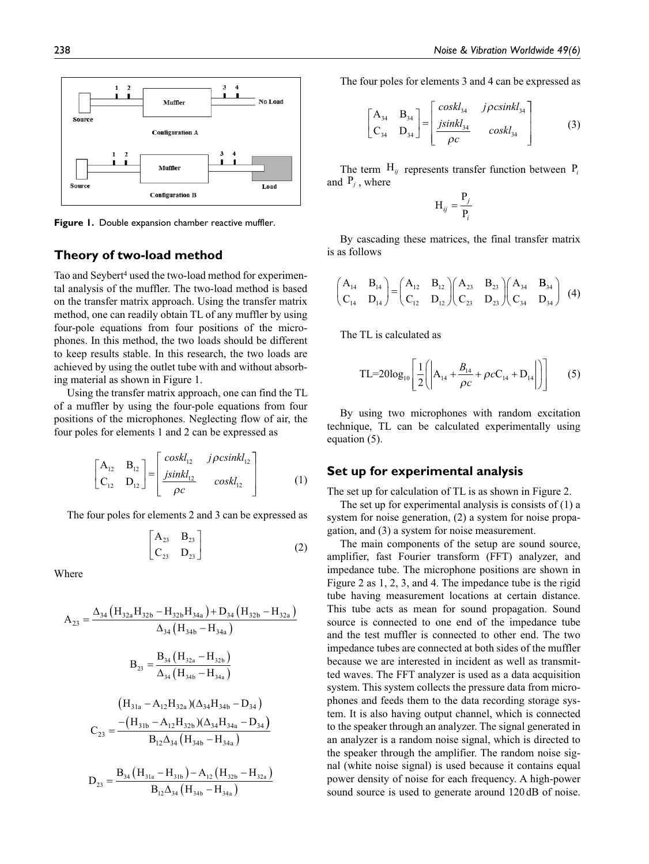I

i, i, I

(3)

 $\overline{a}$ 

 $J$ *pcsinni*<sub>34</sub>  $\frac{34}{2}$   $coskl_{34}$ 

ρ

*coskl j csinkl*

 $\frac{ac_{34}}{c}$  coskl

The four poles for elements 3 and 4 can be expressed as

 $A_{24}$  B  $C_{24}$  D 34  $\mathbf{D}_{34}$  $34 \frac{1}{34}$ 

 $\overline{\phantom{a}}$  $\Bigg] =$   $\mathbf{r}$ 

 $\parallel$  $\parallel$ L

*jsinkl*

ρ

The term  $H_{ij}$  represents transfer function between  $P_i$ 

P  $^{ij}$  –  $^{p}$  $=\frac{1}{x}$ *i* By cascading these matrices, the final transfer matrix

> $A_{22}$  B.  $C_{22}$  D

 $\left( \begin{vmatrix} A_{14} + \frac{B_{14}}{2} + \rho c C_{14} + \end{vmatrix} \right)$ 

*B*  $\frac{d^2}{c} + \rho c$ 

By using two microphones with random excitation technique, TL can be calculated experimentally using

23  $\mathbf{D}_{23}$  $23 \frac{1}{23}$  Ì  $\int$   $\sqrt{2}$  $\overline{\mathcal{C}}$ 

B  $C_{21}$  D

> $\left( \right)$ J  $\overline{\phantom{a}}$

 $\left[\frac{B_{14}}{\rho c} + \rho c C_{14} + D_{14} \right]$  (5)

J  $\overline{\phantom{a}}$ J I

34  $34 \quad \frac{\text{L}}{34}$  Ì  $(4)$ 

L

H

 $A_{12}$  B  $C_{12}$  D

2

L L  $\mathsf{I}$  $\mathsf{I}$ 

 $\overline{\phantom{a}}$ I

 $-12$   $-12$  $v_{12}$   $v_{12}$ 

 $\begin{pmatrix} B_{14} \end{pmatrix}$   $\begin{pmatrix} A_{12} & B_{12} \end{pmatrix}$  $\begin{pmatrix} A_{23} & B_{23} \end{pmatrix}$  $\begin{pmatrix} A_{14} & B_{15} \end{pmatrix}$ 

Ì  $\int$  $\sqrt{2}$  $\overline{\mathcal{C}}$ 

TL=20log<sub>10</sub>  $\frac{1}{2}$   $\left| A_{14} + \frac{B_{14}}{20} + \rho c C_{14} + D_{14} \right|$ 

 $(A_{14} \ B_{14}) \ (A_{12} \ B_{12}) (A_{23} \ B_{23}) (A_{34})$ 

L  $\overline{\phantom{a}}$ 

and  $P_j$ , where

is as follows

 $A_{11}$   $B_1$  $C_{\text{u}}$  D

 $\overline{\mathcal{C}}$ 

 $v_{14}$   $v_{14}$ 

Ì  $=$  $\overline{\mathcal{C}}$ 

The TL is calculated as



**Figure 1.** Double expansion chamber reactive muffler.

## **Theory of two-load method**

Tao and Seybert<sup>4</sup> used the two-load method for experimental analysis of the muffler. The two-load method is based on the transfer matrix approach. Using the transfer matrix method, one can readily obtain TL of any muffler by using four-pole equations from four positions of the microphones. In this method, the two loads should be different to keep results stable. In this research, the two loads are achieved by using the outlet tube with and without absorbing material as shown in Figure 1.

Using the transfer matrix approach, one can find the TL of a muffler by using the four-pole equations from four positions of the microphones. Neglecting flow of air, the four poles for elements 1 and 2 can be expressed as

$$
\begin{bmatrix} A_{12} & B_{12} \\ C_{12} & D_{12} \end{bmatrix} = \begin{bmatrix} \cos k l_{12} & j \rho \cosh l_{12} \\ \frac{j \sin k l_{12}}{\rho c} & \cos k l_{12} \end{bmatrix}
$$
 (1)

The four poles for elements 2 and 3 can be expressed as

$$
\begin{bmatrix} A_{23} & B_{23} \\ C_{23} & D_{23} \end{bmatrix}
$$
 (2)

Where

$$
A_{23} = \frac{\Delta_{34} (H_{32a}H_{32b} - H_{32b}H_{34a}) + D_{34} (H_{32b} - H_{32a})}{\Delta_{34} (H_{34b} - H_{34a})}
$$
  

$$
B_{23} = \frac{B_{34} (H_{32a} - H_{32b})}{\Delta_{34} (H_{34b} - H_{34a})}
$$
  

$$
(H_{31a} - A_{12}H_{32a}) (\Delta_{34}H_{34b} - D_{34})
$$
  

$$
C_{23} = \frac{-(H_{31b} - A_{12}H_{32b}) (\Delta_{34}H_{34a} - D_{34})}{B_{12}\Delta_{34} (H_{34b} - H_{34a})}
$$
  

$$
D_{23} = \frac{B_{34} (H_{31a} - H_{31b}) - A_{12} (H_{32b} - H_{32a})}{B_{12}\Delta_{34} (H_{34b} - H_{34a})}
$$

$$
B_{12}\Delta_{34}\left(H_{34b}-H_{34a}\right)
$$

$$
[pcsinkl_{12}]
$$
\n
$$
[pcsinkl_{12}]
$$
\n**Set up for experimental analysis**

The set up for calculation of TL is as shown in Figure 2.

The set up for experimental analysis is consists of (1) a system for noise generation, (2) a system for noise propagation, and (3) a system for noise measurement.

The main components of the setup are sound source, amplifier, fast Fourier transform (FFT) analyzer, and impedance tube. The microphone positions are shown in Figure 2 as 1, 2, 3, and 4. The impedance tube is the rigid tube having measurement locations at certain distance. This tube acts as mean for sound propagation. Sound source is connected to one end of the impedance tube and the test muffler is connected to other end. The two impedance tubes are connected at both sides of the muffler because we are interested in incident as well as transmitted waves. The FFT analyzer is used as a data acquisition system. This system collects the pressure data from microphones and feeds them to the data recording storage system. It is also having output channel, which is connected to the speaker through an analyzer. The signal generated in an analyzer is a random noise signal, which is directed to the speaker through the amplifier. The random noise signal (white noise signal) is used because it contains equal power density of noise for each frequency. A high-power sound source is used to generate around 120 dB of noise.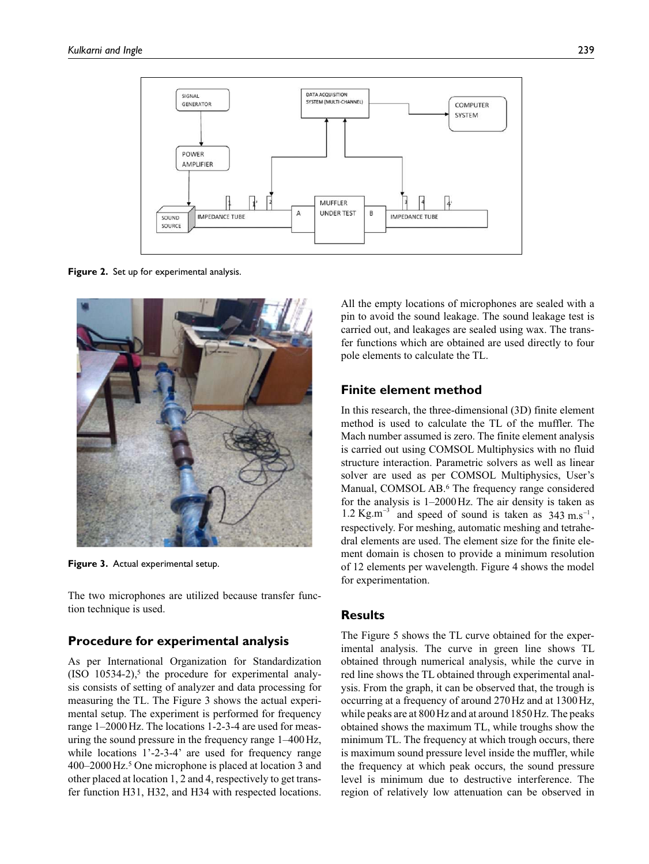

**Figure 2.** Set up for experimental analysis.



**Figure 3.** Actual experimental setup.

The two microphones are utilized because transfer function technique is used.

#### **Procedure for experimental analysis**

As per International Organization for Standardization  $(ISO 10534-2)$ ,<sup>5</sup> the procedure for experimental analysis consists of setting of analyzer and data processing for measuring the TL. The Figure 3 shows the actual experimental setup. The experiment is performed for frequency range 1–2000 Hz. The locations 1-2-3-4 are used for measuring the sound pressure in the frequency range 1–400 Hz, while locations 1'-2-3-4' are used for frequency range 400–2000 Hz.<sup>5</sup> One microphone is placed at location 3 and other placed at location 1, 2 and 4, respectively to get transfer function H31, H32, and H34 with respected locations.

All the empty locations of microphones are sealed with a pin to avoid the sound leakage. The sound leakage test is carried out, and leakages are sealed using wax. The transfer functions which are obtained are used directly to four pole elements to calculate the TL.

## **Finite element method**

In this research, the three-dimensional (3D) finite element method is used to calculate the TL of the muffler. The Mach number assumed is zero. The finite element analysis is carried out using COMSOL Multiphysics with no fluid structure interaction. Parametric solvers as well as linear solver are used as per COMSOL Multiphysics, User's Manual, COMSOL AB.<sup>6</sup> The frequency range considered for the analysis is 1–2000 Hz. The air density is taken as 1.2 Kg.m<sup>-3</sup> and speed of sound is taken as  $343 \text{ m.s}^{-1}$ , respectively. For meshing, automatic meshing and tetrahedral elements are used. The element size for the finite element domain is chosen to provide a minimum resolution of 12 elements per wavelength. Figure 4 shows the model for experimentation.

## **Results**

The Figure 5 shows the TL curve obtained for the experimental analysis. The curve in green line shows TL obtained through numerical analysis, while the curve in red line shows the TL obtained through experimental analysis. From the graph, it can be observed that, the trough is occurring at a frequency of around 270 Hz and at 1300 Hz, while peaks are at 800 Hz and at around 1850 Hz. The peaks obtained shows the maximum TL, while troughs show the minimum TL. The frequency at which trough occurs, there is maximum sound pressure level inside the muffler, while the frequency at which peak occurs, the sound pressure level is minimum due to destructive interference. The region of relatively low attenuation can be observed in